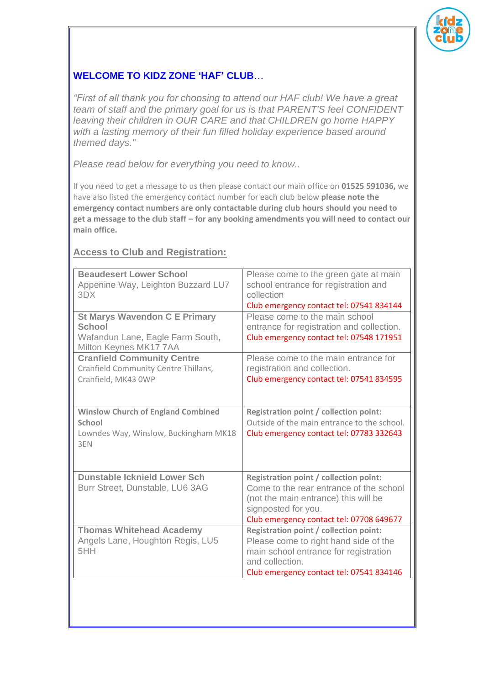

# **WELCOME TO KIDZ ZONE 'HAF' CLUB**…

*"First of all thank you for choosing to attend our HAF club! We have a great team of staff and the primary goal for us is that PARENT'S feel CONFIDENT leaving their children in OUR CARE and that CHILDREN go home HAPPY with a lasting memory of their fun filled holiday experience based around themed days."*

*Please read below for everything you need to know..*

If you need to get a message to us then please contact our main office on **01525 591036,** we have also listed the emergency contact number for each club below **please note the emergency contact numbers are only contactable during club hours should you need to get a message to the club staff – for any booking amendments you will need to contact our main office.**

## **Access to Club and Registration:**

| <b>Beaudesert Lower School</b><br>Appenine Way, Leighton Buzzard LU7<br>3DX                                 | Please come to the green gate at main<br>school entrance for registration and<br>collection<br>Club emergency contact tel: 07541 834144                                                             |
|-------------------------------------------------------------------------------------------------------------|-----------------------------------------------------------------------------------------------------------------------------------------------------------------------------------------------------|
| <b>St Marys Wavendon C E Primary</b><br>School<br>Wafandun Lane, Eagle Farm South,<br>Milton Keynes MK177AA | Please come to the main school<br>entrance for registration and collection.<br>Club emergency contact tel: 07548 171951                                                                             |
| <b>Cranfield Community Centre</b><br>Cranfield Community Centre Thillans,<br>Cranfield, MK43 0WP            | Please come to the main entrance for<br>registration and collection.<br>Club emergency contact tel: 07541 834595                                                                                    |
| <b>Winslow Church of England Combined</b><br>School<br>Lowndes Way, Winslow, Buckingham MK18<br>3EN         | Registration point / collection point:<br>Outside of the main entrance to the school.<br>Club emergency contact tel: 07783 332643                                                                   |
| <b>Dunstable Icknield Lower Sch</b><br>Burr Street, Dunstable, LU6 3AG                                      | <b>Registration point / collection point:</b><br>Come to the rear entrance of the school<br>(not the main entrance) this will be<br>signposted for you.<br>Club emergency contact tel: 07708 649677 |
| <b>Thomas Whitehead Academy</b><br>Angels Lane, Houghton Regis, LU5<br>5HH                                  | Registration point / collection point:<br>Please come to right hand side of the<br>main school entrance for registration<br>and collection.<br>Club emergency contact tel: 07541 834146             |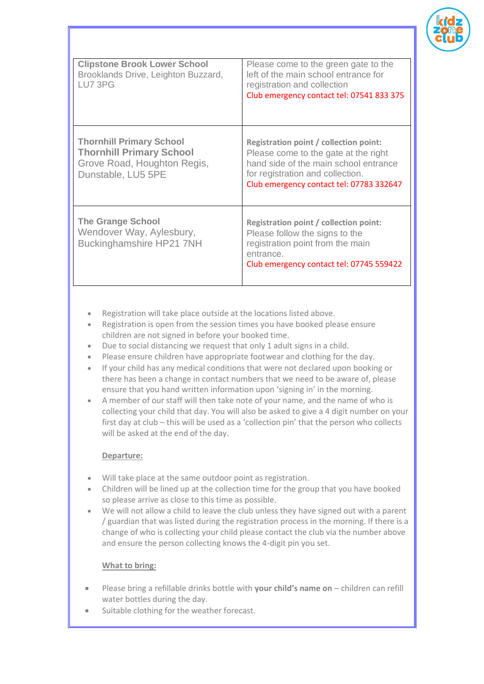

| <b>Clipstone Brook Lower School</b><br>Brooklands Drive, Leighton Buzzard,<br>LU7 3PG                                   | Please come to the green gate to the<br>left of the main school entrance for<br>registration and collection<br>Club emergency contact tel: 07541 833 375                                                |
|-------------------------------------------------------------------------------------------------------------------------|---------------------------------------------------------------------------------------------------------------------------------------------------------------------------------------------------------|
| <b>Thornhill Primary School</b><br><b>Thornhill Primary School</b><br>Grove Road, Houghton Regis,<br>Dunstable, LU5 5PE | Registration point / collection point:<br>Please come to the gate at the right<br>hand side of the main school entrance<br>for registration and collection.<br>Club emergency contact tel: 07783 332647 |
| <b>The Grange School</b><br>Wendover Way, Aylesbury,<br><b>Buckinghamshire HP21 7NH</b>                                 | <b>Registration point / collection point:</b><br>Please follow the signs to the<br>registration point from the main<br>entrance.<br>Club emergency contact tel: 07745 559422                            |

- Registration will take place outside at the locations listed above.
- Registration is open from the session times you have booked please ensure children are not signed in before your booked time.
- Due to social distancing we request that only 1 adult signs in a child.
- Please ensure children have appropriate footwear and clothing for the day.
- If your child has any medical conditions that were not declared upon booking or there has been a change in contact numbers that we need to be aware of, please ensure that you hand written information upon 'signing in' in the morning.
- A member of our staff will then take note of your name, and the name of who is collecting your child that day. You will also be asked to give a 4 digit number on your first day at club – this will be used as a 'collection pin' that the person who collects will be asked at the end of the day.

#### **Departure:**

- Will take place at the same outdoor point as registration.
- Children will be lined up at the collection time for the group that you have booked so please arrive as close to this time as possible.
- We will not allow a child to leave the club unless they have signed out with a parent / guardian that was listed during the registration process in the morning. If there is a change of who is collecting your child please contact the club via the number above and ensure the person collecting knows the 4-digit pin you set.

### **What to bring:**

- Please bring a refillable drinks bottle with **your child's name on** children can refill water bottles during the day.
- Suitable clothing for the weather forecast.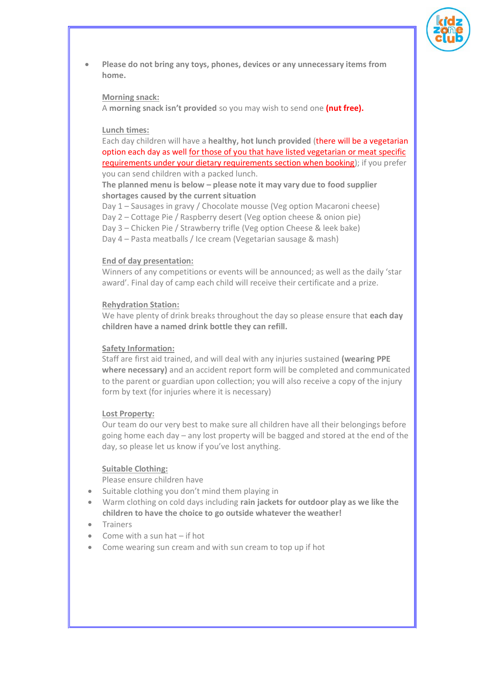

• **Please do not bring any toys, phones, devices or any unnecessary items from home.**

#### **Morning snack:**

A **morning snack isn't provided** so you may wish to send one **(nut free).**

#### **Lunch times:**

Each day children will have a **healthy, hot lunch provided** (there will be a vegetarian option each day as well for those of you that have listed vegetarian or meat specific requirements under your dietary requirements section when booking); if you prefer you can send children with a packed lunch.

**The planned menu is below – please note it may vary due to food supplier shortages caused by the current situation**

Day 1 – Sausages in gravy / Chocolate mousse (Veg option Macaroni cheese)

Day 2 – Cottage Pie / Raspberry desert (Veg option cheese & onion pie)

Day 3 – Chicken Pie / Strawberry trifle (Veg option Cheese & leek bake)

Day 4 – Pasta meatballs / Ice cream (Vegetarian sausage & mash)

#### **End of day presentation:**

Winners of any competitions or events will be announced; as well as the daily 'star award'. Final day of camp each child will receive their certificate and a prize.

#### **Rehydration Station:**

We have plenty of drink breaks throughout the day so please ensure that **each day children have a named drink bottle they can refill.**

#### **Safety Information:**

Staff are first aid trained, and will deal with any injuries sustained **(wearing PPE where necessary)** and an accident report form will be completed and communicated to the parent or guardian upon collection; you will also receive a copy of the injury form by text (for injuries where it is necessary)

#### **Lost Property:**

Our team do our very best to make sure all children have all their belongings before going home each day – any lost property will be bagged and stored at the end of the day, so please let us know if you've lost anything.

#### **Suitable Clothing:**

Please ensure children have

- Suitable clothing you don't mind them playing in
- Warm clothing on cold days including **rain jackets for outdoor play as we like the children to have the choice to go outside whatever the weather!**
- **Trainers**
- Come with a sun hat if hot
- Come wearing sun cream and with sun cream to top up if hot